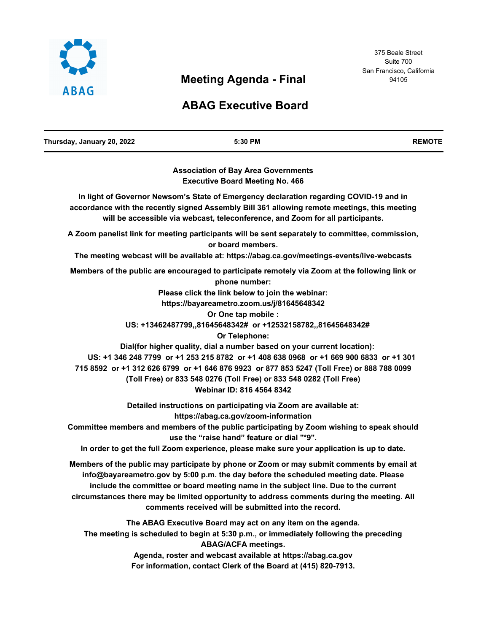

# **Meeting Agenda - Final**

# **ABAG Executive Board**

| Thursday, January 20, 2022 | 5:30 PM                                                                                                                                                                                                                                                                                                                                                                                                                        | <b>REMOTE</b> |
|----------------------------|--------------------------------------------------------------------------------------------------------------------------------------------------------------------------------------------------------------------------------------------------------------------------------------------------------------------------------------------------------------------------------------------------------------------------------|---------------|
|                            | <b>Association of Bay Area Governments</b><br><b>Executive Board Meeting No. 466</b>                                                                                                                                                                                                                                                                                                                                           |               |
|                            | In light of Governor Newsom's State of Emergency declaration regarding COVID-19 and in<br>accordance with the recently signed Assembly Bill 361 allowing remote meetings, this meeting<br>will be accessible via webcast, teleconference, and Zoom for all participants.                                                                                                                                                       |               |
|                            | A Zoom panelist link for meeting participants will be sent separately to committee, commission,<br>or board members.                                                                                                                                                                                                                                                                                                           |               |
|                            | The meeting webcast will be available at: https://abag.ca.gov/meetings-events/live-webcasts<br>Members of the public are encouraged to participate remotely via Zoom at the following link or                                                                                                                                                                                                                                  |               |
|                            | phone number:<br>Please click the link below to join the webinar:<br>https://bayareametro.zoom.us/j/81645648342<br>Or One tap mobile :                                                                                                                                                                                                                                                                                         |               |
|                            | US: +13462487799,,81645648342# or +12532158782,,81645648342#<br>Or Telephone:                                                                                                                                                                                                                                                                                                                                                  |               |
|                            | Dial(for higher quality, dial a number based on your current location):<br>US: +1 346 248 7799 or +1 253 215 8782 or +1 408 638 0968 or +1 669 900 6833 or +1 301<br>715 8592 or +1 312 626 6799 or +1 646 876 9923 or 877 853 5247 (Toll Free) or 888 788 0099<br>(Toll Free) or 833 548 0276 (Toll Free) or 833 548 0282 (Toll Free)<br>Webinar ID: 816 4564 8342                                                            |               |
|                            | Detailed instructions on participating via Zoom are available at:<br>https://abag.ca.gov/zoom-information<br>Committee members and members of the public participating by Zoom wishing to speak should<br>use the "raise hand" feature or dial "*9".<br>In order to get the full Zoom experience, please make sure your application is up to date.                                                                             |               |
|                            | Members of the public may participate by phone or Zoom or may submit comments by email at<br>info@bayareametro.gov by 5:00 p.m. the day before the scheduled meeting date. Please<br>include the committee or board meeting name in the subject line. Due to the current<br>circumstances there may be limited opportunity to address comments during the meeting. All<br>comments received will be submitted into the record. |               |
|                            | The ABAG Executive Board may act on any item on the agenda.<br>The meeting is scheduled to begin at 5:30 p.m., or immediately following the preceding<br><b>ABAG/ACFA meetings.</b>                                                                                                                                                                                                                                            |               |

**Agenda, roster and webcast available at https://abag.ca.gov For information, contact Clerk of the Board at (415) 820-7913.**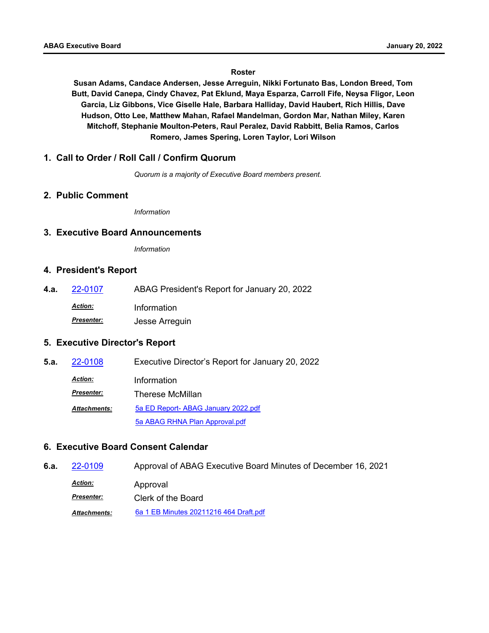#### **Roster**

**Susan Adams, Candace Andersen, Jesse Arreguin, Nikki Fortunato Bas, London Breed, Tom Butt, David Canepa, Cindy Chavez, Pat Eklund, Maya Esparza, Carroll Fife, Neysa Fligor, Leon Garcia, Liz Gibbons, Vice Giselle Hale, Barbara Halliday, David Haubert, Rich Hillis, Dave Hudson, Otto Lee, Matthew Mahan, Rafael Mandelman, Gordon Mar, Nathan Miley, Karen Mitchoff, Stephanie Moulton-Peters, Raul Peralez, David Rabbitt, Belia Ramos, Carlos Romero, James Spering, Loren Taylor, Lori Wilson**

#### **1. Call to Order / Roll Call / Confirm Quorum**

*Quorum is a majority of Executive Board members present.*

#### **2. Public Comment**

*Information*

#### **3. Executive Board Announcements**

*Information*

#### **4. President's Report**

**4.a.** [22-0107](http://mtc.legistar.com/gateway.aspx?m=l&id=/matter.aspx?key=23366) ABAG President's Report for January 20, 2022 *Action:* Information *Presenter:* Jesse Arreguin

# **5. Executive Director's Report**

| 5.a. | 22-0108             | Executive Director's Report for January 20, 2022 |
|------|---------------------|--------------------------------------------------|
|      | <b>Action:</b>      | Information                                      |
|      | <b>Presenter:</b>   | Therese McMillan                                 |
|      | <b>Attachments:</b> | 5a ED Report- ABAG January 2022.pdf              |
|      |                     | 5a ABAG RHNA Plan Approval.pdf                   |

# **6. Executive Board Consent Calendar**

**6.a.** [22-0109](http://mtc.legistar.com/gateway.aspx?m=l&id=/matter.aspx?key=23368) Approval of ABAG Executive Board Minutes of December 16, 2021

Approval *Action:*

*Presenter:* Clerk of the Board

*Attachments:* [6a 1 EB Minutes 20211216 464 Draft.pdf](http://mtc.legistar.com/gateway.aspx?M=F&ID=1af7d77e-2907-48b8-9f6f-8c24aeeaf1c2.pdf)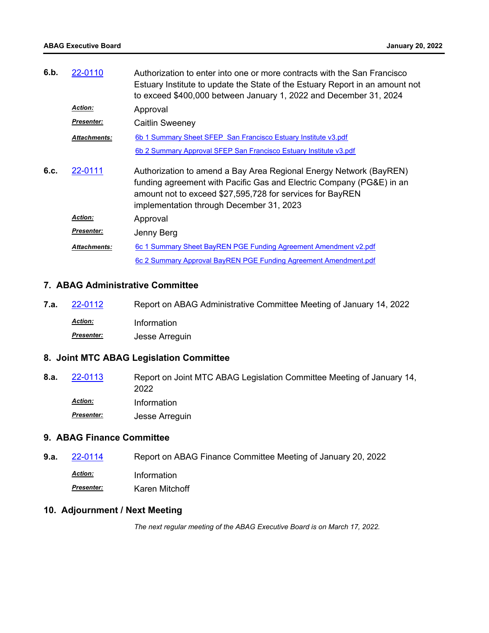| 6.b. | 22-0110             | Authorization to enter into one or more contracts with the San Francisco<br>Estuary Institute to update the State of the Estuary Report in an amount not<br>to exceed \$400,000 between January 1, 2022 and December 31, 2024                       |
|------|---------------------|-----------------------------------------------------------------------------------------------------------------------------------------------------------------------------------------------------------------------------------------------------|
|      | <b>Action:</b>      | Approval                                                                                                                                                                                                                                            |
|      | <b>Presenter:</b>   | Caitlin Sweeney                                                                                                                                                                                                                                     |
|      | Attachments:        | 6b 1 Summary Sheet SFEP San Francisco Estuary Institute v3.pdf                                                                                                                                                                                      |
|      |                     | 6b 2 Summary Approval SFEP San Francisco Estuary Institute v3.pdf                                                                                                                                                                                   |
| 6.c. | 22-0111             | Authorization to amend a Bay Area Regional Energy Network (BayREN)<br>funding agreement with Pacific Gas and Electric Company (PG&E) in an<br>amount not to exceed \$27,595,728 for services for BayREN<br>implementation through December 31, 2023 |
|      | <b>Action:</b>      | Approval                                                                                                                                                                                                                                            |
|      | Presenter:          | Jenny Berg                                                                                                                                                                                                                                          |
|      | <b>Attachments:</b> | 6c 1 Summary Sheet BayREN PGE Funding Agreement Amendment v2.pdf                                                                                                                                                                                    |
|      |                     | 6c 2 Summary Approval BayREN PGE Funding Agreement Amendment.pdf                                                                                                                                                                                    |

#### **7. ABAG Administrative Committee**

**7.a.** [22-0112](http://mtc.legistar.com/gateway.aspx?m=l&id=/matter.aspx?key=23371) Report on ABAG Administrative Committee Meeting of January 14, 2022 *Action:* Information *Presenter:* Jesse Arreguin

# **8. Joint MTC ABAG Legislation Committee**

Report on Joint MTC ABAG Legislation Committee Meeting of January 14, 2022 **8.a.** [22-0113](http://mtc.legistar.com/gateway.aspx?m=l&id=/matter.aspx?key=23372) *Action:* Information *Presenter:* Jesse Arreguin

#### **9. ABAG Finance Committee**

- **9.a. [22-0114](http://mtc.legistar.com/gateway.aspx?m=l&id=/matter.aspx?key=23373)** Report on ABAG Finance Committee Meeting of January 20, 2022
	- *Action:* Information
	- **Presenter: Karen Mitchoff**

# **10. Adjournment / Next Meeting**

*The next regular meeting of the ABAG Executive Board is on March 17, 2022.*